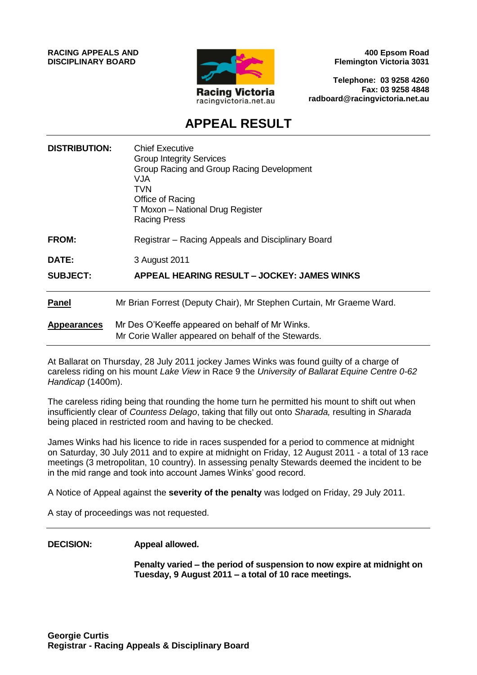**RACING APPEALS AND DISCIPLINARY BOARD**



**400 Epsom Road Flemington Victoria 3031**

**Telephone: 03 9258 4260 Fax: 03 9258 4848 radboard@racingvictoria.net.au**

## **APPEAL RESULT**

| <b>DISTRIBUTION:</b> | <b>Chief Executive</b><br><b>Group Integrity Services</b><br>Group Racing and Group Racing Development<br><b>VJA</b><br>TVN<br>Office of Racing<br>T Moxon – National Drug Register<br><b>Racing Press</b> |
|----------------------|------------------------------------------------------------------------------------------------------------------------------------------------------------------------------------------------------------|
| <b>FROM:</b>         | Registrar – Racing Appeals and Disciplinary Board                                                                                                                                                          |
| DATE:                | 3 August 2011                                                                                                                                                                                              |
| <b>SUBJECT:</b>      | APPEAL HEARING RESULT - JOCKEY: JAMES WINKS                                                                                                                                                                |
| <b>Panel</b>         | Mr Brian Forrest (Deputy Chair), Mr Stephen Curtain, Mr Graeme Ward.                                                                                                                                       |
| <b>Appearances</b>   | Mr Des O'Keeffe appeared on behalf of Mr Winks.<br>Mr Corie Waller appeared on behalf of the Stewards.                                                                                                     |

At Ballarat on Thursday, 28 July 2011 jockey James Winks was found guilty of a charge of careless riding on his mount *Lake View* in Race 9 the *University of Ballarat Equine Centre 0-62 Handicap* (1400m).

The careless riding being that rounding the home turn he permitted his mount to shift out when insufficiently clear of *Countess Delago*, taking that filly out onto *Sharada,* resulting in *Sharada*  being placed in restricted room and having to be checked.

James Winks had his licence to ride in races suspended for a period to commence at midnight on Saturday, 30 July 2011 and to expire at midnight on Friday, 12 August 2011 - a total of 13 race meetings (3 metropolitan, 10 country). In assessing penalty Stewards deemed the incident to be in the mid range and took into account James Winks' good record.

A Notice of Appeal against the **severity of the penalty** was lodged on Friday, 29 July 2011.

A stay of proceedings was not requested.

#### **DECISION: Appeal allowed.**

**Penalty varied – the period of suspension to now expire at midnight on Tuesday, 9 August 2011 – a total of 10 race meetings.**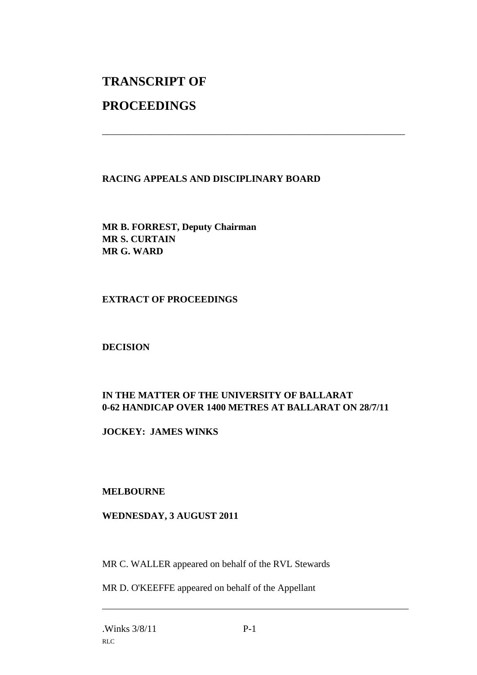# **TRANSCRIPT OF**

## **PROCEEDINGS**

#### **RACING APPEALS AND DISCIPLINARY BOARD**

\_\_\_\_\_\_\_\_\_\_\_\_\_\_\_\_\_\_\_\_\_\_\_\_\_\_\_\_\_\_\_\_\_\_\_\_\_\_\_\_\_\_\_\_\_\_\_\_\_\_\_\_\_\_\_\_\_\_\_\_\_\_\_

**MR B. FORREST, Deputy Chairman MR S. CURTAIN MR G. WARD**

#### **EXTRACT OF PROCEEDINGS**

**DECISION**

#### **IN THE MATTER OF THE UNIVERSITY OF BALLARAT 0-62 HANDICAP OVER 1400 METRES AT BALLARAT ON 28/7/11**

**JOCKEY: JAMES WINKS**

#### **MELBOURNE**

#### **WEDNESDAY, 3 AUGUST 2011**

MR C. WALLER appeared on behalf of the RVL Stewards

MR D. O'KEEFFE appeared on behalf of the Appellant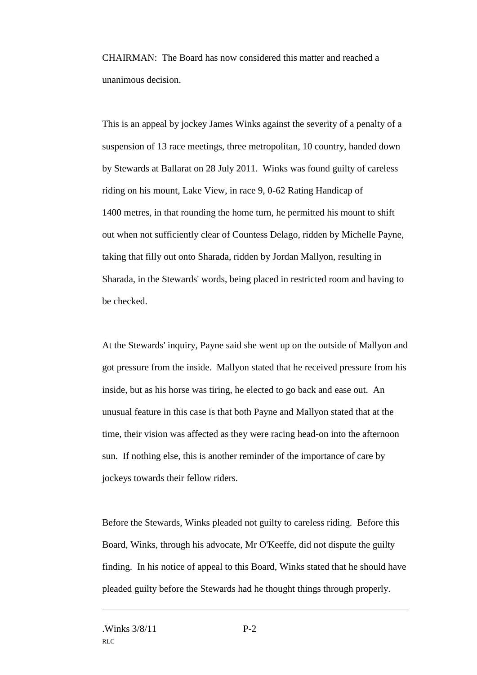CHAIRMAN: The Board has now considered this matter and reached a unanimous decision.

This is an appeal by jockey James Winks against the severity of a penalty of a suspension of 13 race meetings, three metropolitan, 10 country, handed down by Stewards at Ballarat on 28 July 2011. Winks was found guilty of careless riding on his mount, Lake View, in race 9, 0-62 Rating Handicap of 1400 metres, in that rounding the home turn, he permitted his mount to shift out when not sufficiently clear of Countess Delago, ridden by Michelle Payne, taking that filly out onto Sharada, ridden by Jordan Mallyon, resulting in Sharada, in the Stewards' words, being placed in restricted room and having to be checked.

At the Stewards' inquiry, Payne said she went up on the outside of Mallyon and got pressure from the inside. Mallyon stated that he received pressure from his inside, but as his horse was tiring, he elected to go back and ease out. An unusual feature in this case is that both Payne and Mallyon stated that at the time, their vision was affected as they were racing head-on into the afternoon sun. If nothing else, this is another reminder of the importance of care by jockeys towards their fellow riders.

Before the Stewards, Winks pleaded not guilty to careless riding. Before this Board, Winks, through his advocate, Mr O'Keeffe, did not dispute the guilty finding. In his notice of appeal to this Board, Winks stated that he should have pleaded guilty before the Stewards had he thought things through properly.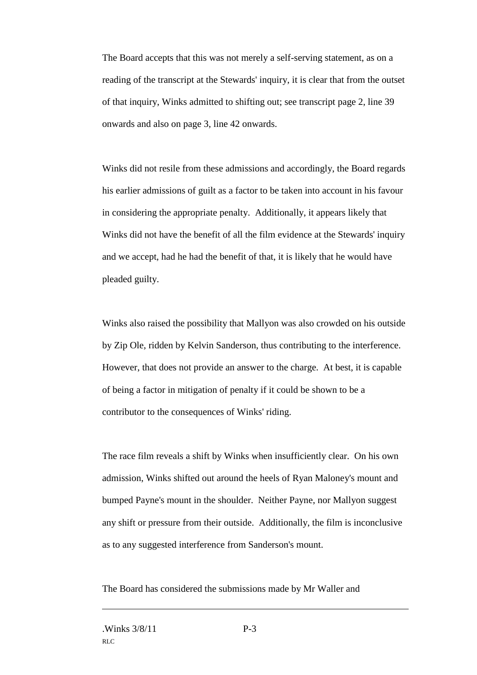The Board accepts that this was not merely a self-serving statement, as on a reading of the transcript at the Stewards' inquiry, it is clear that from the outset of that inquiry, Winks admitted to shifting out; see transcript page 2, line 39 onwards and also on page 3, line 42 onwards.

Winks did not resile from these admissions and accordingly, the Board regards his earlier admissions of guilt as a factor to be taken into account in his favour in considering the appropriate penalty. Additionally, it appears likely that Winks did not have the benefit of all the film evidence at the Stewards' inquiry and we accept, had he had the benefit of that, it is likely that he would have pleaded guilty.

Winks also raised the possibility that Mallyon was also crowded on his outside by Zip Ole, ridden by Kelvin Sanderson, thus contributing to the interference. However, that does not provide an answer to the charge. At best, it is capable of being a factor in mitigation of penalty if it could be shown to be a contributor to the consequences of Winks' riding.

The race film reveals a shift by Winks when insufficiently clear. On his own admission, Winks shifted out around the heels of Ryan Maloney's mount and bumped Payne's mount in the shoulder. Neither Payne, nor Mallyon suggest any shift or pressure from their outside. Additionally, the film is inconclusive as to any suggested interference from Sanderson's mount.

The Board has considered the submissions made by Mr Waller and